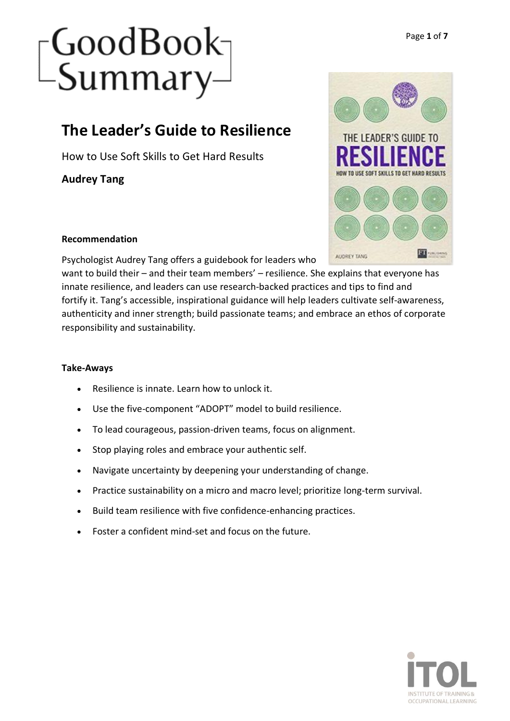# [GoodBook<sub>]</sub><br>[Summary]

### **The Leader's Guide to Resilience**

How to Use Soft Skills to Get Hard Results

**Audrey Tang**



### **Recommendation**

Psychologist Audrey Tang offers a guidebook for leaders who

want to build their – and their team members' – resilience. She explains that everyone has innate resilience, and leaders can use research-backed practices and tips to find and fortify it. Tang's accessible, inspirational guidance will help leaders cultivate self-awareness, authenticity and inner strength; build passionate teams; and embrace an ethos of corporate responsibility and sustainability.

### **Take-Aways**

- Resilience is innate. Learn how to unlock it.
- Use the five-component "ADOPT" model to build resilience.
- To lead courageous, passion-driven teams, focus on alignment.
- Stop playing roles and embrace your authentic self.
- Navigate uncertainty by deepening your understanding of change.
- Practice sustainability on a micro and macro level; prioritize long-term survival.
- Build team resilience with five confidence-enhancing practices.
- Foster a confident mind-set and focus on the future.

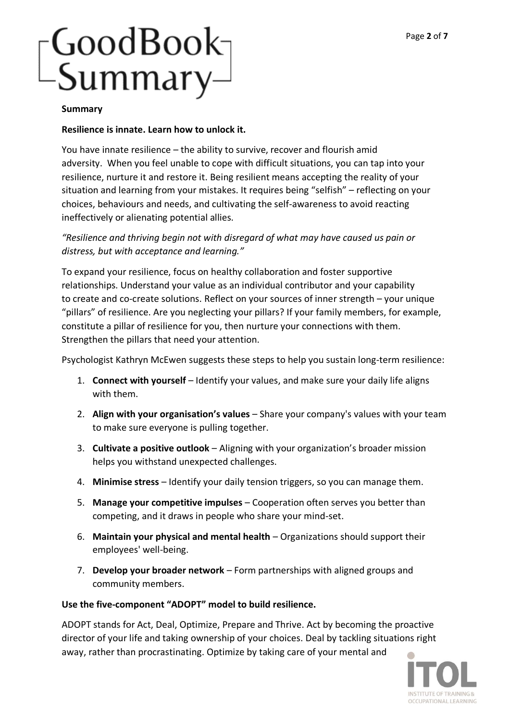# -GoodBook-<br>-Summary-

#### **Summary**

#### **Resilience is innate. Learn how to unlock it.**

You have innate resilience – the ability to survive, recover and flourish amid adversity. When you feel unable to cope with difficult situations, you can tap into your resilience, nurture it and restore it. Being resilient means accepting the reality of your situation and learning from your mistakes. It requires being "selfish" – reflecting on your choices, behaviours and needs, and cultivating the self-awareness to avoid reacting ineffectively or alienating potential allies.

#### *"Resilience and thriving begin not with disregard of what may have caused us pain or distress, but with acceptance and learning."*

To expand your resilience, focus on healthy collaboration and foster supportive relationships. Understand your value as an individual contributor and your capability to create and co-create solutions. Reflect on your sources of inner strength – your unique "pillars" of resilience. Are you neglecting your pillars? If your family members, for example, constitute a pillar of resilience for you, then nurture your connections with them. Strengthen the pillars that need your attention.

Psychologist Kathryn McEwen suggests these steps to help you sustain long-term resilience:

- 1. **Connect with yourself** Identify your values, and make sure your daily life aligns with them.
- 2. **Align with your organisation's values** Share your company's values with your team to make sure everyone is pulling together.
- 3. **Cultivate a positive outlook** Aligning with your organization's broader mission helps you withstand unexpected challenges.
- 4. **Minimise stress** Identify your daily tension triggers, so you can manage them.
- 5. **Manage your competitive impulses** Cooperation often serves you better than competing, and it draws in people who share your mind-set.
- 6. **Maintain your physical and mental health** Organizations should support their employees' well-being.
- 7. **Develop your broader network** Form partnerships with aligned groups and community members.

#### **Use the five-component "ADOPT" model to build resilience.**

ADOPT stands for Act, Deal, Optimize, Prepare and Thrive. Act by becoming the proactive director of your life and taking ownership of your choices. Deal by tackling situations right away, rather than procrastinating. Optimize by taking care of your mental and œ

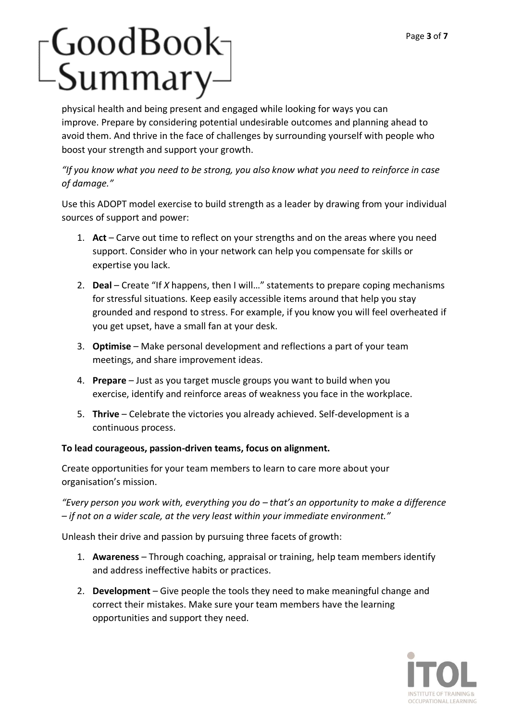# [GoodBook<sub>]</sub><br>| Summary

physical health and being present and engaged while looking for ways you can improve. Prepare by considering potential undesirable outcomes and planning ahead to avoid them. And thrive in the face of challenges by surrounding yourself with people who boost your strength and support your growth.

### *"If you know what you need to be strong, you also know what you need to reinforce in case of damage."*

Use this ADOPT model exercise to build strength as a leader by drawing from your individual sources of support and power:

- 1. **Act** Carve out time to reflect on your strengths and on the areas where you need support. Consider who in your network can help you compensate for skills or expertise you lack.
- 2. **Deal** Create "If *X* happens, then I will…" statements to prepare coping mechanisms for stressful situations. Keep easily accessible items around that help you stay grounded and respond to stress. For example, if you know you will feel overheated if you get upset, have a small fan at your desk.
- 3. **Optimise** Make personal development and reflections a part of your team meetings, and share improvement ideas.
- 4. **Prepare** Just as you target muscle groups you want to build when you exercise, identify and reinforce areas of weakness you face in the workplace.
- 5. **Thrive** Celebrate the victories you already achieved. Self-development is a continuous process.

### **To lead courageous, passion-driven teams, focus on alignment.**

Create opportunities for your team members to learn to care more about your organisation's mission.

*"Every person you work with, everything you do – that's an opportunity to make a difference – if not on a wider scale, at the very least within your immediate environment."*

Unleash their drive and passion by pursuing three facets of growth:

- 1. **Awareness** Through coaching, appraisal or training, help team members identify and address ineffective habits or practices.
- 2. **Development** Give people the tools they need to make meaningful change and correct their mistakes. Make sure your team members have the learning opportunities and support they need.

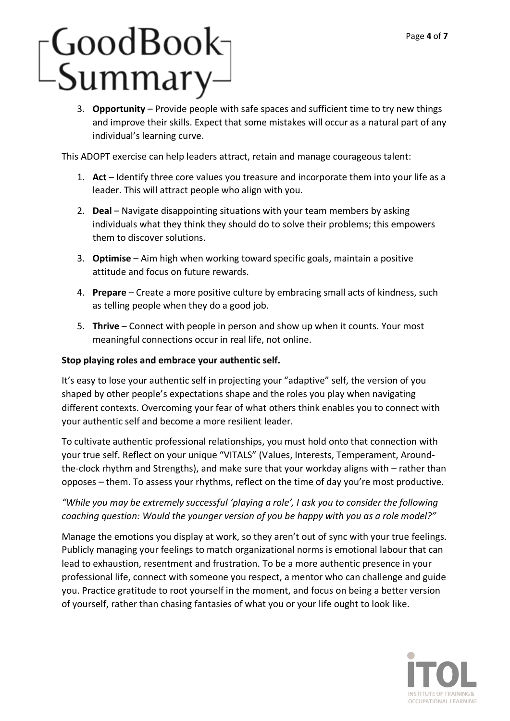# [GoodBook<sub>]</sub><br>[Summary]

3. **Opportunity** – Provide people with safe spaces and sufficient time to try new things and improve their skills. Expect that some mistakes will occur as a natural part of any individual's learning curve.

This ADOPT exercise can help leaders attract, retain and manage courageous talent:

- 1. **Act** Identify three core values you treasure and incorporate them into your life as a leader. This will attract people who align with you.
- 2. **Deal** Navigate disappointing situations with your team members by asking individuals what they think they should do to solve their problems; this empowers them to discover solutions.
- 3. **Optimise** Aim high when working toward specific goals, maintain a positive attitude and focus on future rewards.
- 4. **Prepare** Create a more positive culture by embracing small acts of kindness, such as telling people when they do a good job.
- 5. **Thrive** Connect with people in person and show up when it counts. Your most meaningful connections occur in real life, not online.

#### **Stop playing roles and embrace your authentic self.**

It's easy to lose your authentic self in projecting your "adaptive" self, the version of you shaped by other people's expectations shape and the roles you play when navigating different contexts. Overcoming your fear of what others think enables you to connect with your authentic self and become a more resilient leader.

To cultivate authentic professional relationships, you must hold onto that connection with your true self. Reflect on your unique "VITALS" (Values, Interests, Temperament, Aroundthe-clock rhythm and Strengths), and make sure that your workday aligns with – rather than opposes – them. To assess your rhythms, reflect on the time of day you're most productive.

### *"While you may be extremely successful 'playing a role', I ask you to consider the following coaching question: Would the younger version of you be happy with you as a role model?"*

Manage the emotions you display at work, so they aren't out of sync with your true feelings. Publicly managing your feelings to match organizational norms is emotional labour that can lead to exhaustion, resentment and frustration. To be a more authentic presence in your professional life, connect with someone you respect, a mentor who can challenge and guide you. Practice gratitude to root yourself in the moment, and focus on being a better version of yourself, rather than chasing fantasies of what you or your life ought to look like.

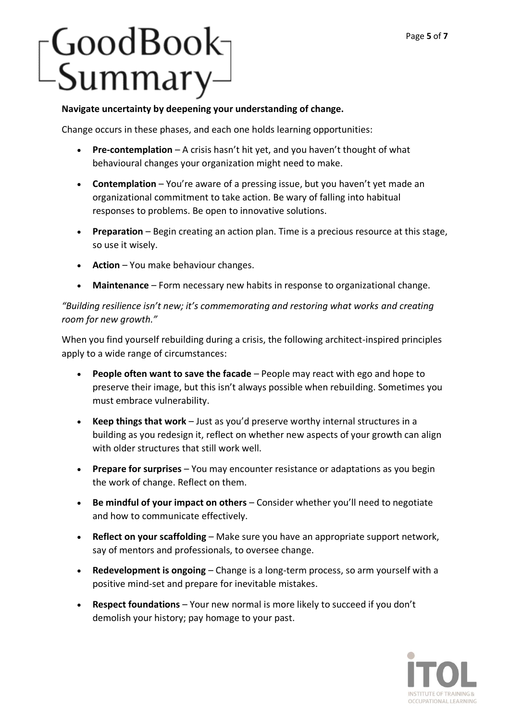# -GoodBook-<br>-Summary-

#### **Navigate uncertainty by deepening your understanding of change.**

Change occurs in these phases, and each one holds learning opportunities:

- **Pre-contemplation** A crisis hasn't hit yet, and you haven't thought of what behavioural changes your organization might need to make.
- **Contemplation** You're aware of a pressing issue, but you haven't yet made an organizational commitment to take action. Be wary of falling into habitual responses to problems. Be open to innovative solutions.
- **Preparation** Begin creating an action plan. Time is a precious resource at this stage, so use it wisely.
- **Action** You make behaviour changes.
- **Maintenance** Form necessary new habits in response to organizational change.

*"Building resilience isn't new; it's commemorating and restoring what works and creating room for new growth."*

When you find yourself rebuilding during a crisis, the following architect-inspired principles apply to a wide range of circumstances:

- **People often want to save the facade** People may react with ego and hope to preserve their image, but this isn't always possible when rebuilding. Sometimes you must embrace vulnerability.
- **Keep things that work** Just as you'd preserve worthy internal structures in a building as you redesign it, reflect on whether new aspects of your growth can align with older structures that still work well.
- **Prepare for surprises** You may encounter resistance or adaptations as you begin the work of change. Reflect on them.
- **Be mindful of your impact on others** Consider whether you'll need to negotiate and how to communicate effectively.
- **Reflect on your scaffolding** Make sure you have an appropriate support network, say of mentors and professionals, to oversee change.
- **Redevelopment is ongoing** Change is a long-term process, so arm yourself with a positive mind-set and prepare for inevitable mistakes.
- **Respect foundations** Your new normal is more likely to succeed if you don't demolish your history; pay homage to your past.

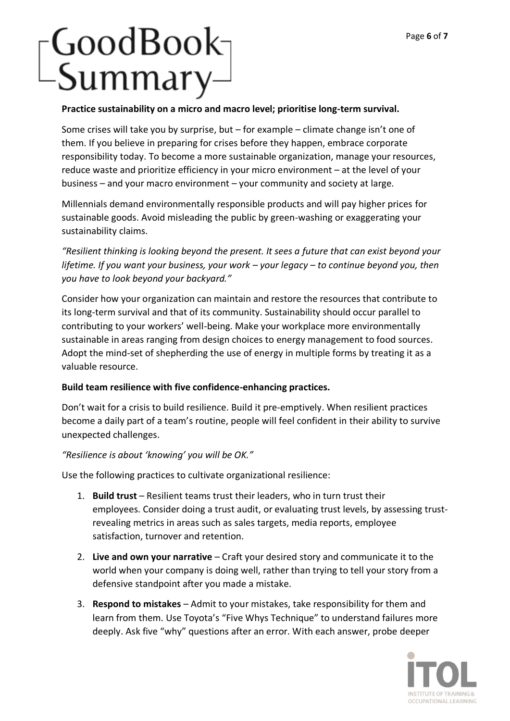# [GoodBook<sub>]</sub><br>| Summary

#### **Practice sustainability on a micro and macro level; prioritise long-term survival.**

Some crises will take you by surprise, but – for example – climate change isn't one of them. If you believe in preparing for crises before they happen, embrace corporate responsibility today. To become a more sustainable organization, manage your resources, reduce waste and prioritize efficiency in your micro environment – at the level of your business – and your macro environment – your community and society at large.

Millennials demand environmentally responsible products and will pay higher prices for sustainable goods. Avoid misleading the public by green-washing or exaggerating your sustainability claims.

*"Resilient thinking is looking beyond the present. It sees a future that can exist beyond your lifetime. If you want your business, your work – your legacy – to continue beyond you, then you have to look beyond your backyard."*

Consider how your organization can maintain and restore the resources that contribute to its long-term survival and that of its community. Sustainability should occur parallel to contributing to your workers' well-being. Make your workplace more environmentally sustainable in areas ranging from design choices to energy management to food sources. Adopt the mind-set of shepherding the use of energy in multiple forms by treating it as a valuable resource.

#### **Build team resilience with five confidence-enhancing practices.**

Don't wait for a crisis to build resilience. Build it pre-emptively. When resilient practices become a daily part of a team's routine, people will feel confident in their ability to survive unexpected challenges.

#### *"Resilience is about 'knowing' you will be OK."*

Use the following practices to cultivate organizational resilience:

- 1. **Build trust** Resilient teams trust their leaders, who in turn trust their employees. Consider doing a trust audit, or evaluating trust levels, by assessing trustrevealing metrics in areas such as sales targets, media reports, employee satisfaction, turnover and retention.
- 2. **Live and own your narrative** Craft your desired story and communicate it to the world when your company is doing well, rather than trying to tell your story from a defensive standpoint after you made a mistake.
- 3. **Respond to mistakes** Admit to your mistakes, take responsibility for them and learn from them. Use Toyota's "Five Whys Technique" to understand failures more deeply. Ask five "why" questions after an error. With each answer, probe deeper